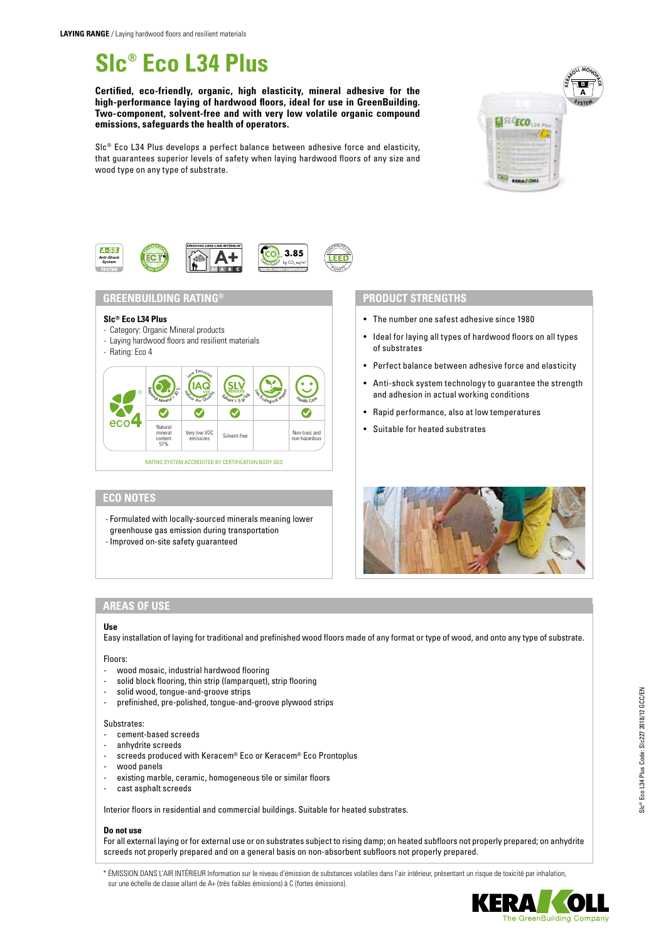# **Slc® Eco L34 Plus**

**Certified, eco-friendly, organic, high elasticity, mineral adhesive for the high-performance laying of hardwood floors, ideal for use in GreenBuilding. Two-component, solvent-free and with very low volatile organic compound emissions, safeguards the health of operators.**

Slc® Eco L34 Plus develops a perfect balance between adhesive force and elasticity, that guarantees superior levels of safety when laying hardwood floors of any size and wood type on any type of substrate.





# **GREENBUILDING RATING® PRODUCT STRENGTHS**

## **Slc® Eco L34 Plus**

- Category: Organic Mineral products
- Laying hardwood floors and resilient materials
- Rating: Eco 4



# **ECO NOTES**

- Formulated with locally-sourced minerals meaning lower greenhouse gas emission during transportation
- Improved on-site safety guaranteed

- The number one safest adhesive since 1980
- Ideal for laying all types of hardwood floors on all types of substrates
- Perfect balance between adhesive force and elasticity
- Anti-shock system technology to guarantee the strength and adhesion in actual working conditions
- Rapid performance, also at low temperatures
- Suitable for heated substrates



# **AREAS OF USE**

# **Use**

Easy installation of laying for traditional and prefinished wood floors made of any format or type of wood, and onto any type of substrate.

# Floors:

- wood mosaic, industrial hardwood flooring
- solid block flooring, thin strip (lamparquet), strip flooring
- solid wood, tongue-and-groove strips
- prefinished, pre-polished, tongue-and-groove plywood strips

## Substrates:

- cement-based screeds
- anhydrite screeds
- screeds produced with Keracem® Eco or Keracem® Eco Prontoplus
- wood panels
- existing marble, ceramic, homogeneous tile or similar floors
- cast asphalt screeds

Interior floors in residential and commercial buildings. Suitable for heated substrates.

## **Do not use**

For all external laying or for external use or on substrates subject to rising damp; on heated subfloors not properly prepared; on anhydrite screeds not properly prepared and on a general basis on non-absorbent subfloors not properly prepared.

\* ÉMISSION DANS L'AIR INTÉRIEUR Information sur le niveau d'émission de substances volatiles dans l'air intérieur, présentant un risque de toxicité par inhalation, sur une échelle de classe allant de A+ (très faibles émissions) à C (fortes émissions).



he GreenBuilding Company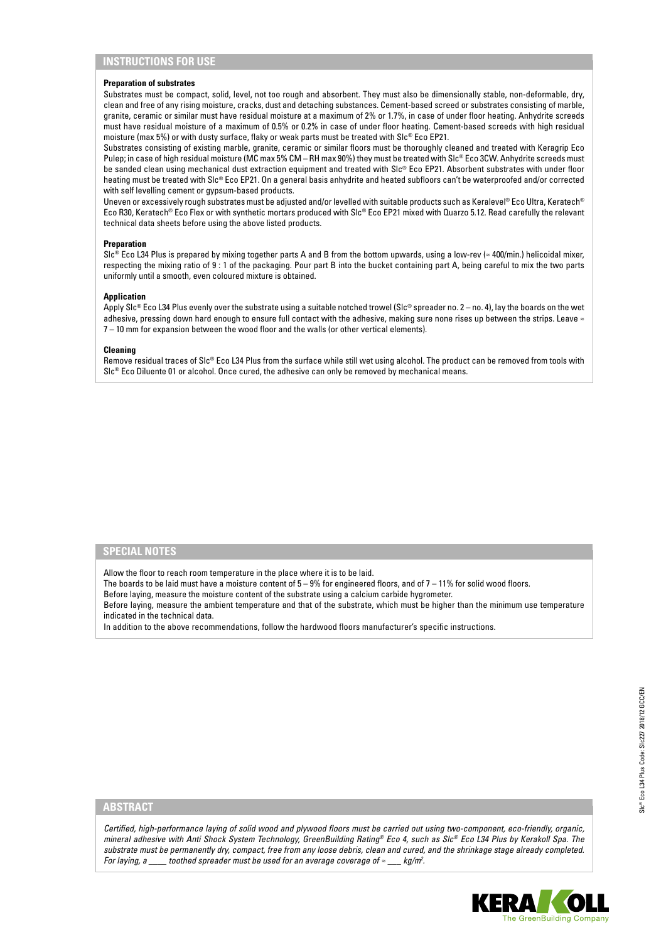# **INSTRUCTIONS FOR USE**

#### **Preparation of substrates**

Substrates must be compact, solid, level, not too rough and absorbent. They must also be dimensionally stable, non-deformable, dry, clean and free of any rising moisture, cracks, dust and detaching substances. Cement-based screed or substrates consisting of marble, granite, ceramic or similar must have residual moisture at a maximum of 2% or 1.7%, in case of under floor heating. Anhydrite screeds must have residual moisture of a maximum of 0.5% or 0.2% in case of under floor heating. Cement-based screeds with high residual moisture (max 5%) or with dusty surface, flaky or weak parts must be treated with Slc® Eco EP21.

Substrates consisting of existing marble, granite, ceramic or similar floors must be thoroughly cleaned and treated with Keragrip Eco Pulep; in case of high residual moisture (MC max 5% CM – RH max 90%) they must be treated with Slc® Eco 3CW. Anhydrite screeds must be sanded clean using mechanical dust extraction equipment and treated with Slc® Eco EP21. Absorbent substrates with under floor heating must be treated with Slc® Eco EP21. On a general basis anhydrite and heated subfloors can't be waterproofed and/or corrected with self levelling cement or gypsum-based products.

Uneven or excessively rough substrates must be adjusted and/or levelled with suitable products such as Keralevel® Eco Ultra, Keratech® Eco R30, Keratech® Eco Flex or with synthetic mortars produced with Slc® Eco EP21 mixed with Quarzo 5.12. Read carefully the relevant technical data sheets before using the above listed products.

#### **Preparation**

Slc® Eco L34 Plus is prepared by mixing together parts A and B from the bottom upwards, using a low-rev (≈ 400/min.) helicoidal mixer, respecting the mixing ratio of 9 : 1 of the packaging. Pour part B into the bucket containing part A, being careful to mix the two parts uniformly until a smooth, even coloured mixture is obtained.

#### **Application**

Apply Slc® Eco L34 Plus evenly over the substrate using a suitable notched trowel (Slc® spreader no. 2 – no. 4), lay the boards on the wet adhesive, pressing down hard enough to ensure full contact with the adhesive, making sure none rises up between the strips. Leave  $\approx$ 7 – 10 mm for expansion between the wood floor and the walls (or other vertical elements).

#### **Cleaning**

Remove residual traces of Slc® Eco L34 Plus from the surface while still wet using alcohol. The product can be removed from tools with Slc® Eco Diluente 01 or alcohol. Once cured, the adhesive can only be removed by mechanical means.

# **SPECIAL NOTES**

Allow the floor to reach room temperature in the place where it is to be laid.

The boards to be laid must have a moisture content of  $5-9%$  for engineered floors, and of  $7-11%$  for solid wood floors.

Before laying, measure the moisture content of the substrate using a calcium carbide hygrometer.

Before laying, measure the ambient temperature and that of the substrate, which must be higher than the minimum use temperature indicated in the technical data.

In addition to the above recommendations, follow the hardwood floors manufacturer's specific instructions.

# **ABSTRACT**

*Certified, high-performance laying of solid wood and plywood floors must be carried out using two-component, eco-friendly, organic, mineral adhesive with Anti Shock System Technology, GreenBuilding Rating® Eco 4, such as Slc® Eco L34 Plus by Kerakoll Spa. The substrate must be permanently dry, compact, free from any loose debris, clean and cured, and the shrinkage stage already completed. For laying, a* \_\_\_\_\_ toothed spreader must be used for an average coverage of  $\approx$  \_\_\_ kg/m<sup>2</sup>.